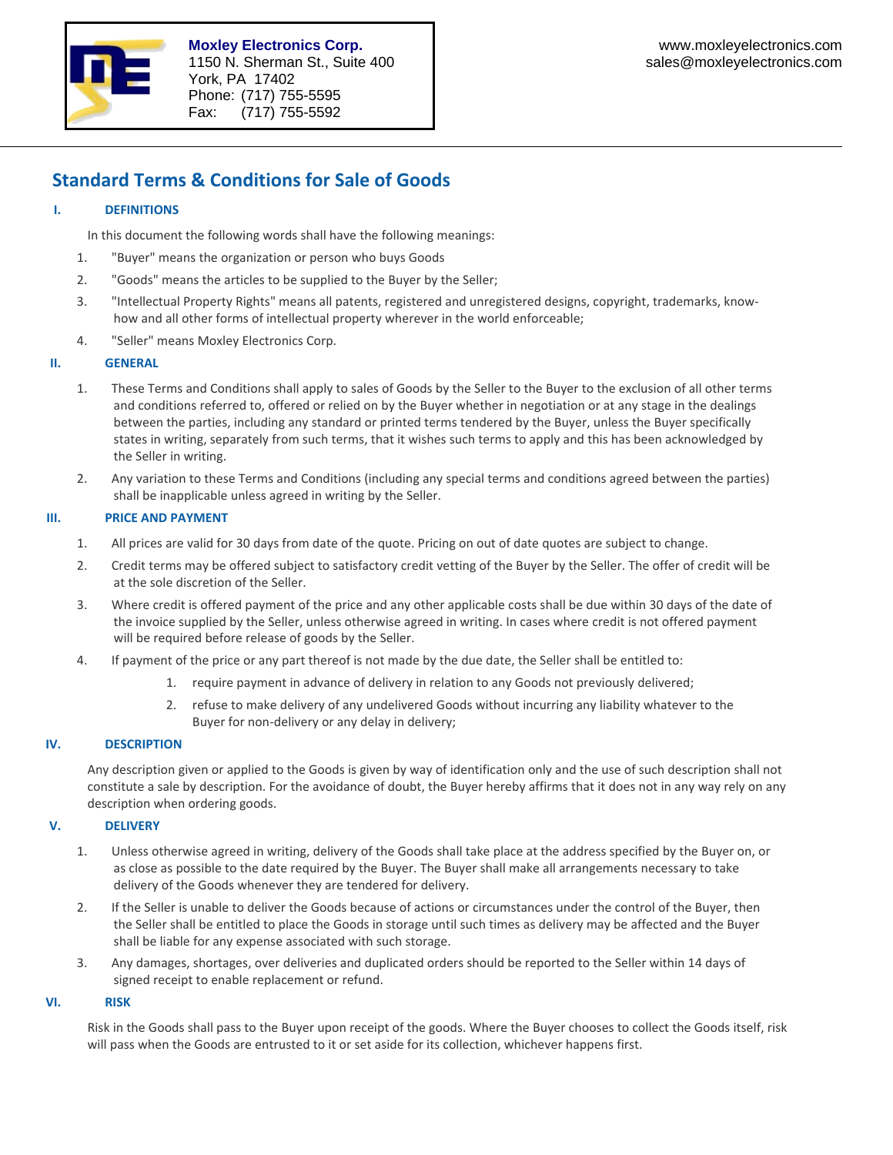

# **Standard Terms & Conditions for Sale of Goods**

# **I. DEFINITIONS**

In this document the following words shall have the following meanings:

- 1. "Buyer" means the organization or person who buys Goods
- 2. "Goods" means the articles to be supplied to the Buyer by the Seller;
- 3. "Intellectual Property Rights" means all patents, registered and unregistered designs, copyright, trademarks, know‐ how and all other forms of intellectual property wherever in the world enforceable;
- 4. "Seller" means Moxley Electronics Corp.

## **II. GENERAL**

- 1. These Terms and Conditions shall apply to sales of Goods by the Seller to the Buyer to the exclusion of all other terms and conditions referred to, offered or relied on by the Buyer whether in negotiation or at any stage in the dealings between the parties, including any standard or printed terms tendered by the Buyer, unless the Buyer specifically states in writing, separately from such terms, that it wishes such terms to apply and this has been acknowledged by the Seller in writing.
- 2. Any variation to these Terms and Conditions (including any special terms and conditions agreed between the parties) shall be inapplicable unless agreed in writing by the Seller.

## **III. PRICE AND PAYMENT**

- 1. All prices are valid for 30 days from date of the quote. Pricing on out of date quotes are subject to change.
- 2. Credit terms may be offered subject to satisfactory credit vetting of the Buyer by the Seller. The offer of credit will be at the sole discretion of the Seller.
- 3. Where credit is offered payment of the price and any other applicable costs shall be due within 30 days of the date of the invoice supplied by the Seller, unless otherwise agreed in writing. In cases where credit is not offered payment will be required before release of goods by the Seller.
- 4. If payment of the price or any part thereof is not made by the due date, the Seller shall be entitled to:
	- 1. require payment in advance of delivery in relation to any Goods not previously delivered;
	- 2. refuse to make delivery of any undelivered Goods without incurring any liability whatever to the Buyer for non‐delivery or any delay in delivery;

## **IV. DESCRIPTION**

Any description given or applied to the Goods is given by way of identification only and the use of such description shall not constitute a sale by description. For the avoidance of doubt, the Buyer hereby affirms that it does not in any way rely on any description when ordering goods.

## **V. DELIVERY**

- 1. Unless otherwise agreed in writing, delivery of the Goods shall take place at the address specified by the Buyer on, or as close as possible to the date required by the Buyer. The Buyer shall make all arrangements necessary to take delivery of the Goods whenever they are tendered for delivery.
- 2. If the Seller is unable to deliver the Goods because of actions or circumstances under the control of the Buyer, then the Seller shall be entitled to place the Goods in storage until such times as delivery may be affected and the Buyer shall be liable for any expense associated with such storage.
- 3. Any damages, shortages, over deliveries and duplicated orders should be reported to the Seller within 14 days of signed receipt to enable replacement or refund.

## **VI. RISK**

Risk in the Goods shall pass to the Buyer upon receipt of the goods. Where the Buyer chooses to collect the Goods itself, risk will pass when the Goods are entrusted to it or set aside for its collection, whichever happens first.